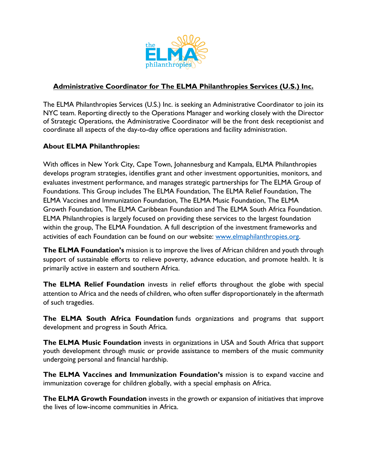

# **Administrative Coordinator for The ELMA Philanthropies Services (U.S.) Inc.**

The ELMA Philanthropies Services (U.S.) Inc. is seeking an Administrative Coordinator to join its NYC team. Reporting directly to the Operations Manager and working closely with the Director of Strategic Operations, the Administrative Coordinator will be the front desk receptionist and coordinate all aspects of the day-to-day office operations and facility administration.

# **About ELMA Philanthropies:**

With offices in New York City, Cape Town, Johannesburg and Kampala, ELMA Philanthropies develops program strategies, identifies grant and other investment opportunities, monitors, and evaluates investment performance, and manages strategic partnerships for The ELMA Group of Foundations. This Group includes The ELMA Foundation, The ELMA Relief Foundation, The ELMA Vaccines and Immunization Foundation, The ELMA Music Foundation, The ELMA Growth Foundation, The ELMA Caribbean Foundation and The ELMA South Africa Foundation. ELMA Philanthropies is largely focused on providing these services to the largest foundation within the group, The ELMA Foundation. A full description of the investment frameworks and activities of each Foundation can be found on our website: [www.elmaphilanthropies.org.](http://www.elmaphilanthropies.org/)

**The ELMA Foundation's** mission is to improve the lives of African children and youth through support of sustainable efforts to relieve poverty, advance education, and promote health. It is primarily active in eastern and southern Africa.

**The ELMA Relief Foundation** invests in relief efforts throughout the globe with special attention to Africa and the needs of children, who often suffer disproportionately in the aftermath of such tragedies.

**The ELMA South Africa Foundation** funds organizations and programs that support development and progress in South Africa.

**The ELMA Music Foundation** invests in organizations in USA and South Africa that support youth development through music or provide assistance to members of the music community undergoing personal and financial hardship.

**The ELMA Vaccines and Immunization Foundation's** mission is to expand vaccine and immunization coverage for children globally, with a special emphasis on Africa.

**The ELMA Growth Foundation** invests in the growth or expansion of initiatives that improve the lives of low-income communities in Africa.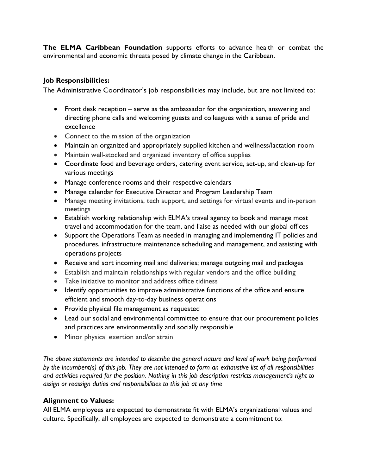**The ELMA Caribbean Foundation** supports efforts to advance health or combat the environmental and economic threats posed by climate change in the Caribbean.

# **Job Responsibilities:**

The Administrative Coordinator's job responsibilities may include, but are not limited to:

- Front desk reception serve as the ambassador for the organization, answering and directing phone calls and welcoming guests and colleagues with a sense of pride and excellence
- Connect to the mission of the organization
- Maintain an organized and appropriately supplied kitchen and wellness/lactation room
- Maintain well-stocked and organized inventory of office supplies
- Coordinate food and beverage orders, catering event service, set-up, and clean-up for various meetings
- Manage conference rooms and their respective calendars
- Manage calendar for Executive Director and Program Leadership Team
- Manage meeting invitations, tech support, and settings for virtual events and in-person meetings
- Establish working relationship with ELMA's travel agency to book and manage most travel and accommodation for the team, and liaise as needed with our global offices
- Support the Operations Team as needed in managing and implementing IT policies and procedures, infrastructure maintenance scheduling and management, and assisting with operations projects
- Receive and sort incoming mail and deliveries; manage outgoing mail and packages
- Establish and maintain relationships with regular vendors and the office building
- Take initiative to monitor and address office tidiness
- Identify opportunities to improve administrative functions of the office and ensure efficient and smooth day-to-day business operations
- Provide physical file management as requested
- Lead our social and environmental committee to ensure that our procurement policies and practices are environmentally and socially responsible
- Minor physical exertion and/or strain

*The above statements are intended to describe the general nature and level of work being performed by the incumbent(s) of this job. They are not intended to form an exhaustive list of all responsibilities and activities required for the position. Nothing in this job description restricts management's right to assign or reassign duties and responsibilities to this job at any time*

### **Alignment to Values:**

All ELMA employees are expected to demonstrate fit with ELMA's organizational values and culture. Specifically, all employees are expected to demonstrate a commitment to: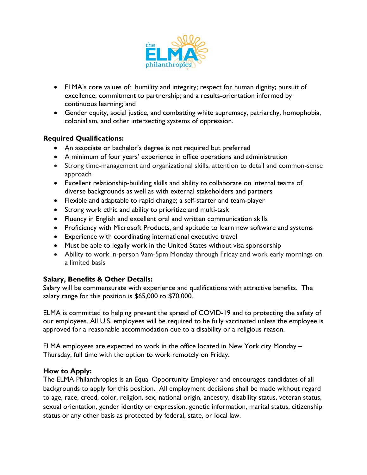

- ELMA's core values of: humility and integrity; respect for human dignity; pursuit of excellence; commitment to partnership; and a results-orientation informed by continuous learning; and
- Gender equity, social justice, and combatting white supremacy, patriarchy, homophobia, colonialism, and other intersecting systems of oppression.

# **Required Qualifications:**

- An associate or bachelor's degree is not required but preferred
- A minimum of four years' experience in office operations and administration
- Strong time-management and organizational skills, attention to detail and common-sense approach
- Excellent relationship-building skills and ability to collaborate on internal teams of diverse backgrounds as well as with external stakeholders and partners
- Flexible and adaptable to rapid change; a self-starter and team-player
- Strong work ethic and ability to prioritize and multi-task
- Fluency in English and excellent oral and written communication skills
- Proficiency with Microsoft Products, and aptitude to learn new software and systems
- Experience with coordinating international executive travel
- Must be able to legally work in the United States without visa sponsorship
- Ability to work in-person 9am-5pm Monday through Friday and work early mornings on a limited basis

# **Salary, Benefits & Other Details:**

Salary will be commensurate with experience and qualifications with attractive benefits. The salary range for this position is \$65,000 to \$70,000.

ELMA is committed to helping prevent the spread of COVID-19 and to protecting the safety of our employees. All U.S. employees will be required to be fully vaccinated unless the employee is approved for a reasonable accommodation due to a disability or a religious reason.

ELMA employees are expected to work in the office located in New York city Monday – Thursday, full time with the option to work remotely on Friday.

### **How to Apply:**

The ELMA Philanthropies is an Equal Opportunity Employer and encourages candidates of all backgrounds to apply for this position. All employment decisions shall be made without regard to age, race, creed, color, religion, sex, national origin, ancestry, disability status, veteran status, sexual orientation, gender identity or expression, genetic information, marital status, citizenship status or any other basis as protected by federal, state, or local law.